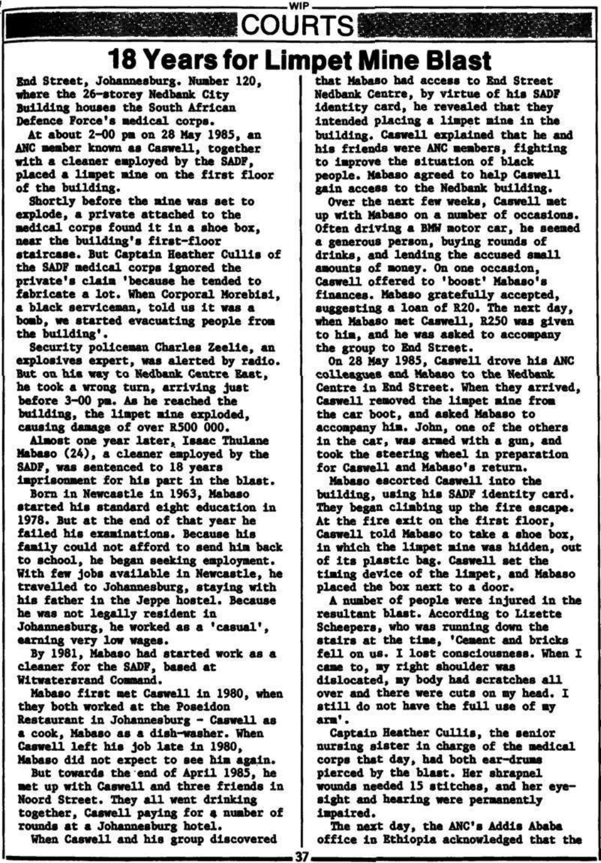## **WIP COURTS 18 Years for Limpet Mine Blast**

**End Street, Johannesburg. Number 120, where the 26-storey Nedbank City Building houses the South African Defence Force's medical corps.** 

**At about 2-00 pa on 28 May 1985, an AHG member known as Caswell, together with a cleaner employed by tha SADF, placed a limpet alne on tha first floor of the building.** 

**Shortly before the nine waa aat to explode, a private attached to the medical corps found It In a shoe box, near tha building's first-floor staircase. But Captain Heather Cullla of the SADF medical corps Ignored the private's claim 'because he tended to**  fabricate a lot. When Corporal Morebisi. **a black serviceman, told US It was a bomb, wa started evacuating people from tha building'.** 

**Security policeman Charles Zeelle, an explosives expert, was alerted by radio. But on his way to Nedbank Centre Seat, he took a wrong turn, arriving just before 3-00 pa. As ha reached the building, the liapet alne exploded, causing daaage of over R500 000.** 

**Almost one year later, Isaac Thulane Mabaso (24), a cleaner employed by the SADF, waa sentenced to 18 yaara imprisonment for his part In the blast.** 

**Born In Newcastle In 1963, Mabaso started his standard eight education In 1978. But at the end of that year ha failed his examinations. Because his family could not afford to send him back to school, ha began seeking employment. With few jobs available In Newcastle, ha travailed to Johannesburg, staying with his father in the Jeppe hostel. Because he waa not legally resident In Johannesburg, he worked as a 'casual', earning very low wages.** 

**By 1981, Mabaso had started work as a cleaner for the SADF, baaed at** 

#### **Wltwaterarand Command.**

**Mabaso first aat Caswell In 1980, when they both worked at tha Poseidon Restaurant In Johannesburg - Caswell as a cook, Mabaso aa a dish-washer. When Caswell left his job late in 1980, Mabaso did not expect to see him again. But towards the end of April 1985, he aat up with Caswell and three friends in Noord Street. They all want drinking together, Caswell paying for a number of rounds at a Johannesburg hotel. When Caswell and his group discovered** 

**that Mabaso had access to End Street Nedbank Centre, by virtue of his SADF Identity card, he revealed that they Intended placing a liapet alne In the building. Caswell explained that he and hla friends were ANC members, fighting to improve the situation of black people. Habaso agreed to help Caswell gain access to the Nedbank building.** 

**Over tha next few weeks, Caswell met Up With Mabaso on a number of occasions. Often driving a BMW aotor car, he aeeaed a generous person, buying rounds of drinks, and lending the accused small amounts of money. On one occasion, Caswell offered to 'boost' Mabaso's finances. Mabaso gratefully accepted, suggesting a loan of R20. Tha next day, whan Mabaso aat Caswell, R250 was given to hla, and ha was asked to accompany the group to End street.** 

**On 28 May 1985, Caswell drove his ANC colleagues and Mabaso to the Nedbank Centre In End Street. When they arrived, Caswell removed the limpet alne from the car boot, and asked Mabaso to accompany hla. John, one of the others In the car, was armed with a gun, and took tha steering wheel In preparation for Caswell and Mabaso's return.** 

**Mabaso escorted Caswell into the building, using his SADF identity card. They began climbing up the fire escape. At the fire exit on the flrat floor, Caswell told Mabaso to take a shoe box, in which the liapet alne was hidden, out of its plastic bag. Caswell set tha timing device of the liapet, and Mabaso placed the box next to a door.** 

**A number of people were injured in the resultant blast. According to Lizette Scheepers, who was running down tha stairs at tha time, 'Cement and bricks fell on us. I lost consciousness. When I came to, ay right shoulder was dislocated, ay body had scratches all over and there were cuta on ay head. 1 still do not have the full use of ay**  arm'. **Captain Heather Cullla, tha senior nursing sister in charge of the medical corps that day, had both ear-drums pierced by the blast. Her shrapnel wounda needed 15 stitches, and her eyesight and hearing were permanently impaired.** 

**Tha next day, tha ANC's Addis Abate office in Ethiopia acknowledged that the** 

37.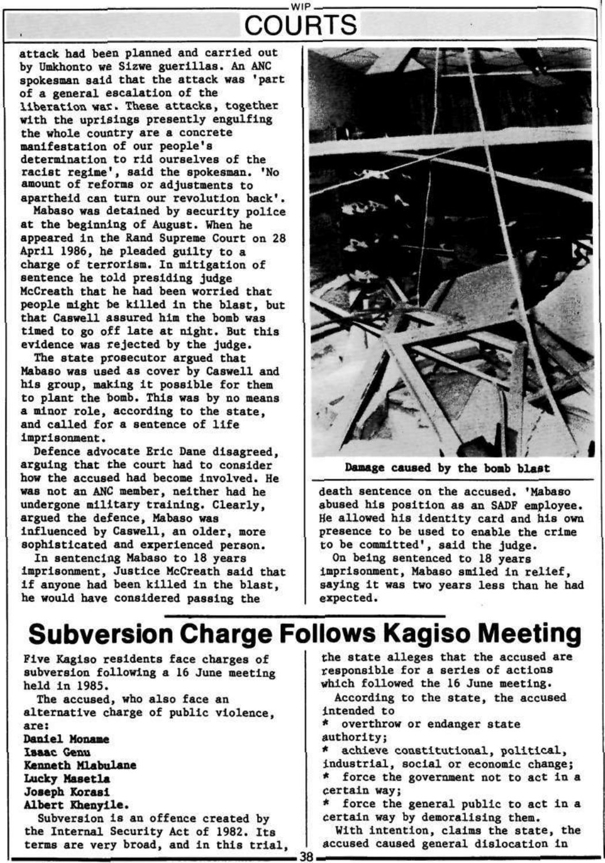### WIP **COURTS**

attack had been planned and carried out by Umkhonto we Sizwe guerillas. An ANC spokesman said that the attack was 'part of a general escalation of the liberation war. These attacks, together with the uprisings presently engulfing the whole country are a concrete manifestation of our people's determination to rid ourselves of the racist regime', said the spokesman. 'No amount of reforms or adjustments to apartheid can turn our revolution back'.

Mabaso was detained by security police **at** the beginning of August. When he appeared in the Rand Supreme Court on 28 April 1986, he pleaded guilty to a charge of terrorism. In mitigation of sentence he told presiding judge McCreath that he had been worried that people might be killed in the blast, but that Caswell assured him the bomb was timed to go off late at night. But this evidence was rejected by the judge.

The state prosecutor argued that Mabaso was used as cover by Caswell and his group, making it possible for them to plant the bomb. This was by no means a minor role, according to the state, and called for a sentence of life imprisonment.

Defence advocate Eric Dane disagreed, arguing that the court had to consider how the accused had become involved. He was not an ANC member, neither had he undergone military training. Clearly, argued the defence, Mabaso was influenced by Caswell, an older, more sophisticated and experienced person.

In sentencing Mabaso to 18 years imprisonment, Justice McCreath said that if anyone had been killed in the blast, he would have considered passing the



**Damage caused by the boab blast** 

death sentence on the accused. 'Mabaso abused his position as an SADF employee. He allowed his identity card and his own presence to be used to enable the crime to be committed', said the judge.

On being sentenced to 18 years imprisonment, Mabaso smiled in relief, saying it was two years less than he had expected.

# **Subversion Charge Follows Kagiso Meeting**

Five Kagiso residents face charges of subversion following a 16 June meeting held in 1985. The accused, who also face an alternative charge of public violence, are: Daniel **Monaae Isaac Genu Kenneth Mlabulane Lucky Masetla Joseph** Korasi **Albert Khenylle.**  Subversion is an offence created by the Internal Security Act of 1982. Its terms are very broad, and in this trial,

38

the state alleges that the accused are responsible for a series of actions which followed the 16 June meeting. According to the state, the accused intended to \* overthrow or endanger state authority; \* achieve constitutional, political, industrial, social or economic change; \* force the government not to act in a certain way; \* force the general public to act in a certain way by demoralising them. With intention, claims the state, the accused caused general dislocation in